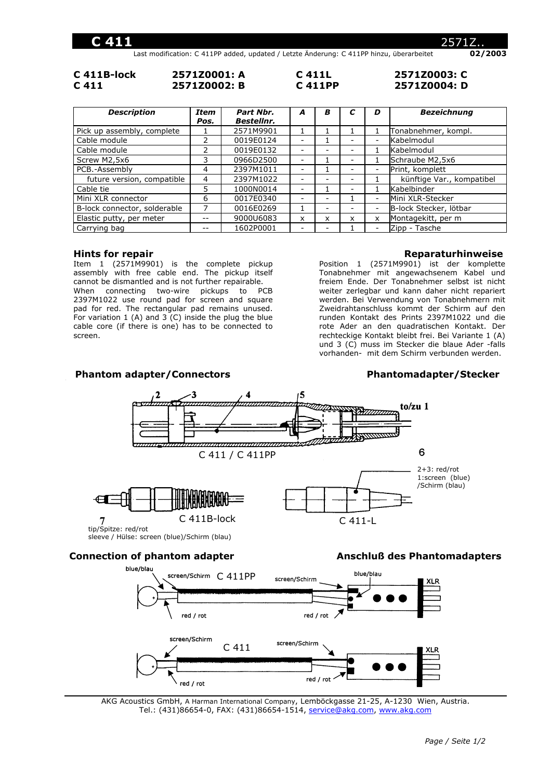Last modification: C 411PP added, updated / Letzte Änderung: C 411PP hinzu, überarbeitet **02/2003** 

| C 411B-lock | 2571Z0001: A | C 411L |
|-------------|--------------|--------|
| C 411       | 2571Z0002: B | C 411P |

**C 411L 2571Z0003: C C 411PP 2571Z0004: D**

| <b>Description</b>           | <b>Item</b><br>Pos. | Part Nbr.<br><b>Bestellnr.</b> | A | в |                          | D                        | <b>Bezeichnung</b>        |
|------------------------------|---------------------|--------------------------------|---|---|--------------------------|--------------------------|---------------------------|
| Pick up assembly, complete   |                     | 2571M9901                      |   |   |                          |                          | Tonabnehmer, kompl.       |
| Cable module                 |                     | 0019E0124                      |   |   | -                        | $\overline{\phantom{m}}$ | Kabelmodul                |
| Cable module                 |                     | 0019E0132                      |   |   |                          |                          | Kabelmodul                |
| Screw M2,5x6                 | 3                   | 0966D2500                      |   |   | -                        |                          | Schraube M2,5x6           |
| PCB.-Assembly                | 4                   | 2397M1011                      |   |   | $\overline{\phantom{0}}$ | $\overline{a}$           | Print, komplett           |
| future version, compatible   | 4                   | 2397M1022                      |   |   |                          |                          | künftige Var., kompatibel |
| Cable tie                    | 5                   | 1000N0014                      |   |   | -                        |                          | Kabelbinder               |
| Mini XLR connector           | 6                   | 0017E0340                      |   |   |                          | $\overline{\phantom{a}}$ | Mini XLR-Stecker          |
| B-lock connector, solderable |                     | 0016E0269                      |   | - |                          | $\overline{\phantom{a}}$ | B-lock Stecker, lötbar    |
| Elastic putty, per meter     |                     | 9000U6083                      | x | x | x                        | X                        | Montagekitt, per m        |
| Carrying bag                 |                     | 1602P0001                      |   | - |                          | $\overline{\phantom{a}}$ | Zipp - Tasche             |

### **Hints for repair**

Item 1 (2571M9901) is the complete pickup assembly with free cable end. The pickup itself cannot be dismantled and is not further repairable. When connecting two-wire pickups to PCB 2397M1022 use round pad for screen and square pad for red. The rectangular pad remains unused. For variation  $1$  (A) and  $3$  (C) inside the plug the blue cable core (if there is one) has to be connected to screen.

### **Reparaturhinweise**

Position 1 (2571M9901) ist der komplette Tonabnehmer mit angewachsenem Kabel und freiem Ende. Der Tonabnehmer selbst ist nicht weiter zerlegbar und kann daher nicht repariert werden. Bei Verwendung von Tonabnehmern mit Zweidrahtanschluss kommt der Schirm auf den runden Kontakt des Prints 2397M1022 und die rote Ader an den quadratischen Kontakt. Der rechteckige Kontakt bleibt frei. Bei Variante 1 (A) und 3 (C) muss im Stecker die blaue Ader -falls vorhanden- mit dem Schirm verbunden werden.

# Phantom adapter/Connectors **Phantomadapter/Stecker**



## **Connection of phantom adapter <b>Anschluß** des Phantomadapters



AKG Acoustics GmbH, A Harman International Company, Lemböckgasse 21-25, A-1230 Wien, Austria. Tel.: (431)86654-0, FAX: (431)86654-1514, service@akg.com, www.akg.com